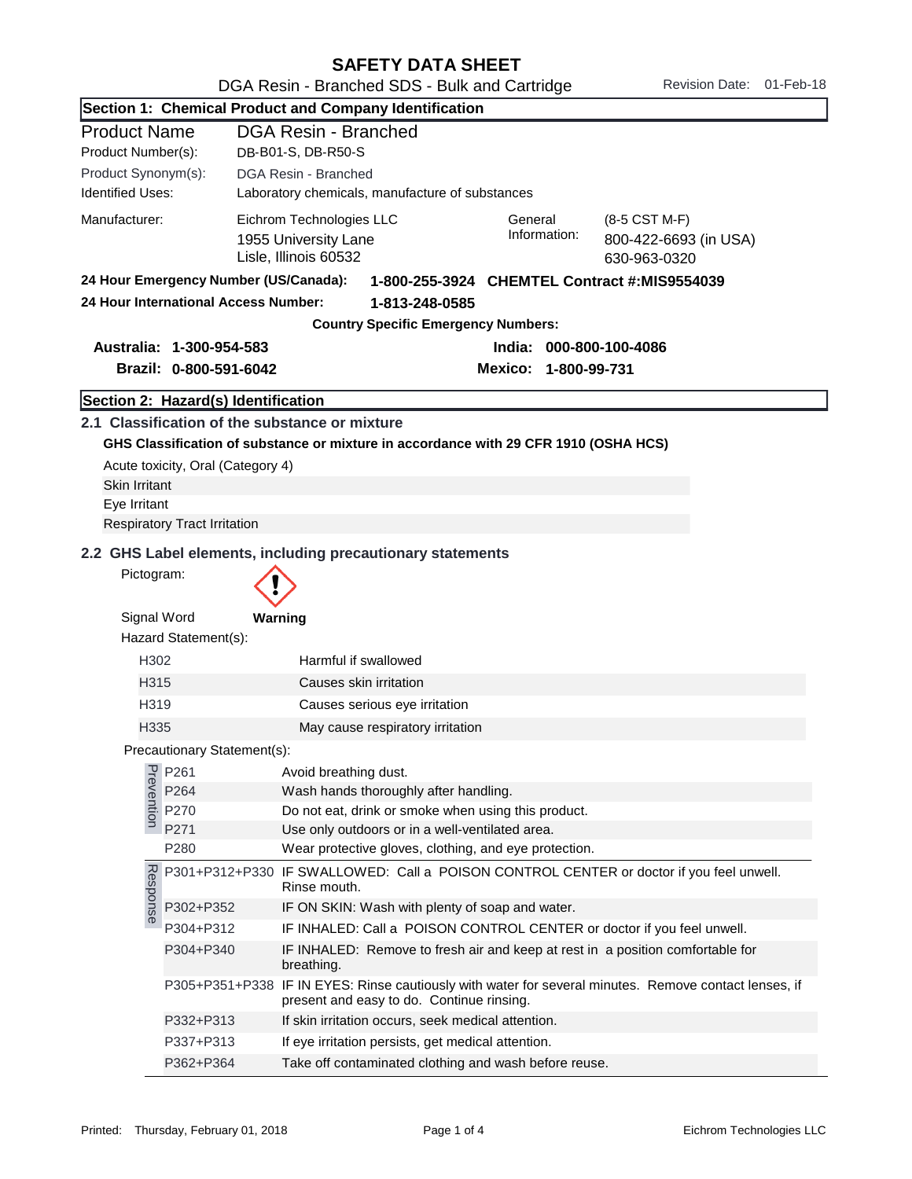| Section 1: Chemical Product and Company Identification                                                                     |                                                                          |                                                                                                                                                                |  |  |  |
|----------------------------------------------------------------------------------------------------------------------------|--------------------------------------------------------------------------|----------------------------------------------------------------------------------------------------------------------------------------------------------------|--|--|--|
| <b>Product Name</b>                                                                                                        |                                                                          | <b>DGA Resin - Branched</b>                                                                                                                                    |  |  |  |
| Product Number(s):<br>DB-B01-S, DB-R50-S                                                                                   |                                                                          |                                                                                                                                                                |  |  |  |
| Product Synonym(s):                                                                                                        |                                                                          | DGA Resin - Branched                                                                                                                                           |  |  |  |
| <b>Identified Uses:</b>                                                                                                    |                                                                          | Laboratory chemicals, manufacture of substances                                                                                                                |  |  |  |
| Manufacturer:                                                                                                              |                                                                          | Eichrom Technologies LLC<br>General<br>(8-5 CST M-F)<br>Information:<br>1955 University Lane<br>800-422-6693 (in USA)<br>Lisle, Illinois 60532<br>630-963-0320 |  |  |  |
|                                                                                                                            | 24 Hour Emergency Number (US/Canada):                                    | 1-800-255-3924 CHEMTEL Contract #:MIS9554039                                                                                                                   |  |  |  |
| 24 Hour International Access Number:                                                                                       |                                                                          | 1-813-248-0585                                                                                                                                                 |  |  |  |
|                                                                                                                            |                                                                          | <b>Country Specific Emergency Numbers:</b>                                                                                                                     |  |  |  |
|                                                                                                                            | Australia: 1-300-954-583                                                 | India: 000-800-100-4086                                                                                                                                        |  |  |  |
|                                                                                                                            | Brazil: 0-800-591-6042                                                   | Mexico: 1-800-99-731                                                                                                                                           |  |  |  |
|                                                                                                                            | Section 2: Hazard(s) Identification                                      |                                                                                                                                                                |  |  |  |
| <b>Skin Irritant</b><br>Eye Irritant                                                                                       | Acute toxicity, Oral (Category 4)<br><b>Respiratory Tract Irritation</b> | 2.1 Classification of the substance or mixture<br>GHS Classification of substance or mixture in accordance with 29 CFR 1910 (OSHA HCS)                         |  |  |  |
| 2.2 GHS Label elements, including precautionary statements<br>Pictogram:<br>Signal Word<br>Warning<br>Hazard Statement(s): |                                                                          |                                                                                                                                                                |  |  |  |
| H302                                                                                                                       |                                                                          | Harmful if swallowed                                                                                                                                           |  |  |  |
| H315                                                                                                                       |                                                                          | Causes skin irritation                                                                                                                                         |  |  |  |
| H319                                                                                                                       |                                                                          | Causes serious eye irritation                                                                                                                                  |  |  |  |
| H335                                                                                                                       |                                                                          | May cause respiratory irritation                                                                                                                               |  |  |  |
|                                                                                                                            | Precautionary Statement(s):                                              |                                                                                                                                                                |  |  |  |
|                                                                                                                            | P261                                                                     | Avoid breathing dust.                                                                                                                                          |  |  |  |
| Prevention                                                                                                                 | P264                                                                     | Wash hands thoroughly after handling.                                                                                                                          |  |  |  |
|                                                                                                                            | P270                                                                     | Do not eat, drink or smoke when using this product.                                                                                                            |  |  |  |
|                                                                                                                            | P271                                                                     | Use only outdoors or in a well-ventilated area.                                                                                                                |  |  |  |
|                                                                                                                            | P280                                                                     | Wear protective gloves, clothing, and eye protection.                                                                                                          |  |  |  |
| Response                                                                                                                   |                                                                          | P301+P312+P330 IF SWALLOWED: Call a POISON CONTROL CENTER or doctor if you feel unwell.<br>Rinse mouth.                                                        |  |  |  |
|                                                                                                                            | P302+P352                                                                | IF ON SKIN: Wash with plenty of soap and water.                                                                                                                |  |  |  |
|                                                                                                                            | P304+P312                                                                | IF INHALED: Call a POISON CONTROL CENTER or doctor if you feel unwell.                                                                                         |  |  |  |
|                                                                                                                            | P304+P340                                                                | IF INHALED: Remove to fresh air and keep at rest in a position comfortable for<br>breathing.                                                                   |  |  |  |
|                                                                                                                            |                                                                          | P305+P351+P338 IF IN EYES: Rinse cautiously with water for several minutes. Remove contact lenses, if<br>present and easy to do. Continue rinsing.             |  |  |  |
|                                                                                                                            | P332+P313                                                                | If skin irritation occurs, seek medical attention.                                                                                                             |  |  |  |
|                                                                                                                            | P337+P313                                                                | If eye irritation persists, get medical attention.                                                                                                             |  |  |  |
|                                                                                                                            | P362+P364                                                                | Take off contaminated clothing and wash before reuse.                                                                                                          |  |  |  |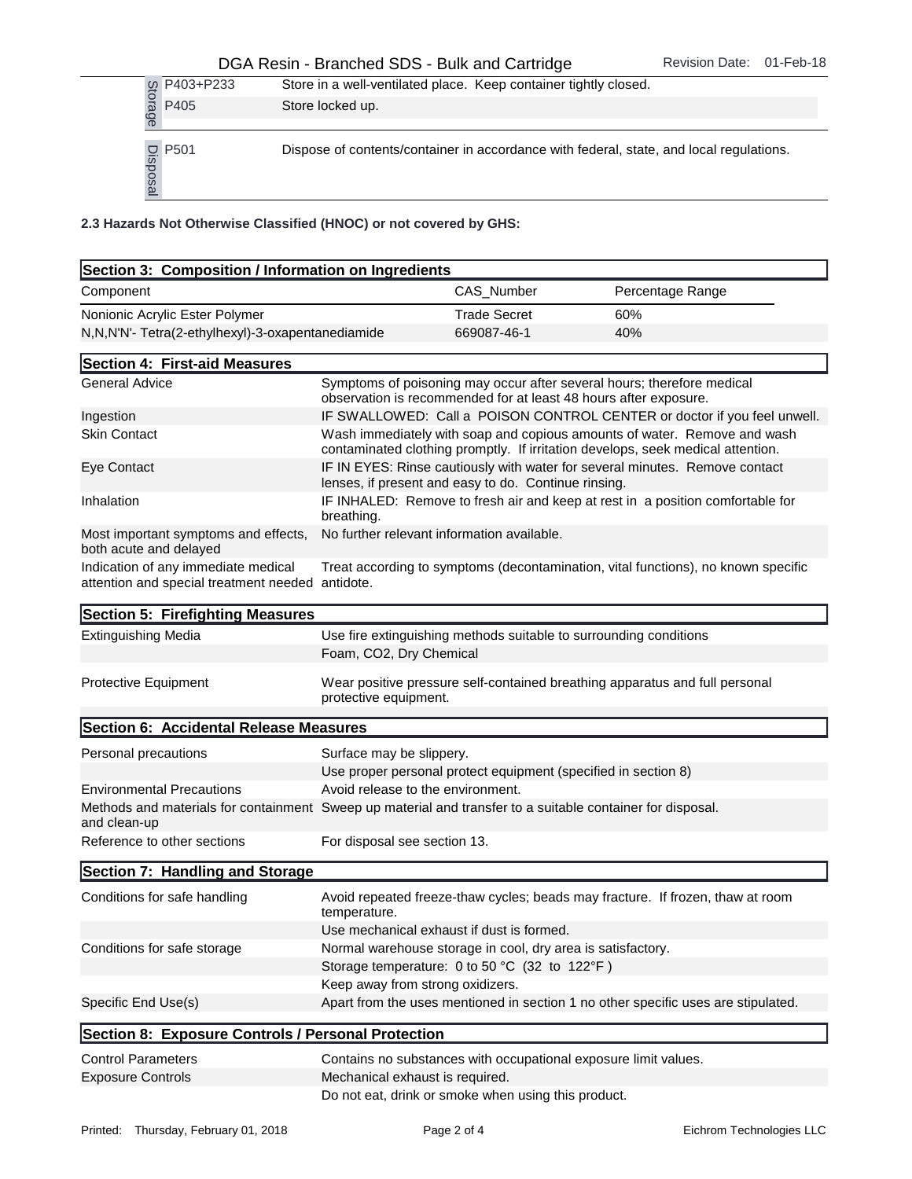## DGA Resin - Branched SDS - Bulk and Cartridge Revision Date: 01-Feb-18

|                                                                    | P403+P233                           |                                                     | Store in a well-ventilated place. Keep container tightly closed. |                                                                                         |  |
|--------------------------------------------------------------------|-------------------------------------|-----------------------------------------------------|------------------------------------------------------------------|-----------------------------------------------------------------------------------------|--|
|                                                                    | Storage<br>P405<br>Store locked up. |                                                     |                                                                  |                                                                                         |  |
|                                                                    | P <sub>501</sub><br>Disposal        |                                                     |                                                                  | Dispose of contents/container in accordance with federal, state, and local regulations. |  |
| 2.3 Hazards Not Otherwise Classified (HNOC) or not covered by GHS: |                                     |                                                     |                                                                  |                                                                                         |  |
|                                                                    |                                     | Section 3: Composition / Information on Ingredients |                                                                  |                                                                                         |  |
| Component                                                          |                                     |                                                     | CAS Number                                                       | Percentage Range                                                                        |  |
|                                                                    | Nonionic Acrylic Ester Polymer      |                                                     | <b>Trade Secret</b>                                              | 60%                                                                                     |  |
|                                                                    |                                     | N,N,N'N'- Tetra(2-ethylhexyl)-3-oxapentanediamide   | 669087-46-1                                                      | 40%                                                                                     |  |

| Section 3: Composition / Information on Ingredients                                                                        |                                            |                                                                |                                                                                                                                                             |
|----------------------------------------------------------------------------------------------------------------------------|--------------------------------------------|----------------------------------------------------------------|-------------------------------------------------------------------------------------------------------------------------------------------------------------|
| Component                                                                                                                  |                                            | CAS_Number                                                     | Percentage Range                                                                                                                                            |
| Nonionic Acrylic Ester Polymer                                                                                             |                                            | <b>Trade Secret</b>                                            | 60%                                                                                                                                                         |
| N,N,N'N'- Tetra(2-ethylhexyl)-3-oxapentanediamide                                                                          |                                            | 669087-46-1                                                    | 40%                                                                                                                                                         |
| Section 4: First-aid Measures                                                                                              |                                            |                                                                |                                                                                                                                                             |
| <b>General Advice</b>                                                                                                      |                                            |                                                                | Symptoms of poisoning may occur after several hours; therefore medical<br>observation is recommended for at least 48 hours after exposure.                  |
| Ingestion                                                                                                                  |                                            |                                                                | IF SWALLOWED: Call a POISON CONTROL CENTER or doctor if you feel unwell.                                                                                    |
| <b>Skin Contact</b>                                                                                                        |                                            |                                                                | Wash immediately with soap and copious amounts of water. Remove and wash<br>contaminated clothing promptly. If irritation develops, seek medical attention. |
| Eye Contact                                                                                                                |                                            | lenses, if present and easy to do. Continue rinsing.           | IF IN EYES: Rinse cautiously with water for several minutes. Remove contact                                                                                 |
| Inhalation                                                                                                                 | breathing.                                 |                                                                | IF INHALED: Remove to fresh air and keep at rest in a position comfortable for                                                                              |
| Most important symptoms and effects,<br>both acute and delayed                                                             | No further relevant information available. |                                                                |                                                                                                                                                             |
| Indication of any immediate medical<br>attention and special treatment needed antidote.                                    |                                            |                                                                | Treat according to symptoms (decontamination, vital functions), no known specific                                                                           |
| Section 5: Firefighting Measures                                                                                           |                                            |                                                                |                                                                                                                                                             |
| <b>Extinguishing Media</b>                                                                                                 | Foam, CO2, Dry Chemical                    |                                                                | Use fire extinguishing methods suitable to surrounding conditions                                                                                           |
| Protective Equipment                                                                                                       | protective equipment.                      |                                                                | Wear positive pressure self-contained breathing apparatus and full personal                                                                                 |
| Section 6: Accidental Release Measures                                                                                     |                                            |                                                                |                                                                                                                                                             |
| Personal precautions                                                                                                       | Surface may be slippery.                   |                                                                |                                                                                                                                                             |
|                                                                                                                            |                                            | Use proper personal protect equipment (specified in section 8) |                                                                                                                                                             |
| <b>Environmental Precautions</b>                                                                                           | Avoid release to the environment.          |                                                                |                                                                                                                                                             |
| Methods and materials for containment Sweep up material and transfer to a suitable container for disposal.<br>and clean-up |                                            |                                                                |                                                                                                                                                             |
| Reference to other sections                                                                                                | For disposal see section 13.               |                                                                |                                                                                                                                                             |
| Section 7: Handling and Storage                                                                                            |                                            |                                                                |                                                                                                                                                             |
| Conditions for safe handling                                                                                               | temperature.                               |                                                                | Avoid repeated freeze-thaw cycles; beads may fracture. If frozen, thaw at room                                                                              |
|                                                                                                                            |                                            | Use mechanical exhaust if dust is formed.                      |                                                                                                                                                             |
| Conditions for safe storage                                                                                                |                                            | Normal warehouse storage in cool, dry area is satisfactory.    |                                                                                                                                                             |
|                                                                                                                            |                                            | Storage temperature: 0 to 50 °C (32 to 122°F)                  |                                                                                                                                                             |
|                                                                                                                            | Keep away from strong oxidizers.           |                                                                |                                                                                                                                                             |
| Specific End Use(s)                                                                                                        |                                            |                                                                | Apart from the uses mentioned in section 1 no other specific uses are stipulated.                                                                           |
| Section 8: Exposure Controls / Personal Protection                                                                         |                                            |                                                                |                                                                                                                                                             |
| <b>Control Parameters</b>                                                                                                  |                                            |                                                                | Contains no substances with occupational exposure limit values.                                                                                             |
| <b>Exposure Controls</b>                                                                                                   | Mechanical exhaust is required.            |                                                                |                                                                                                                                                             |
|                                                                                                                            |                                            | Do not eat, drink or smoke when using this product.            |                                                                                                                                                             |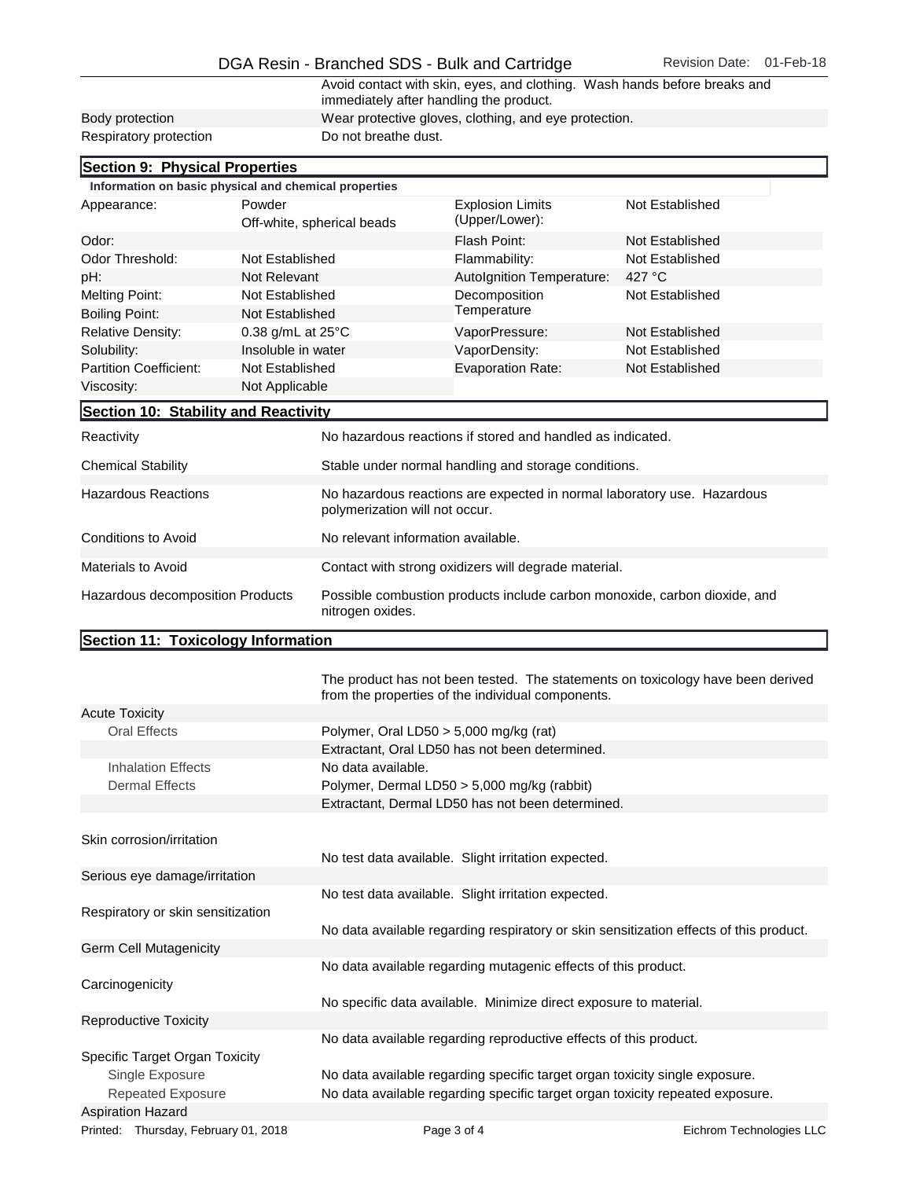## DGA Resin - Branched SDS - Bulk and Cartridge Revision Date: 01-Feb-18

Avoid contact with skin, eyes, and clothing. Wash hands before breaks and immediately after handling the product. Body protection Wear protective gloves, clothing, and eye protection.<br>
Respiratory protection Do not breathe dust. Respiratory protection

| Section 9: Physical Properties                        |                    |                                                                                                           |                                           |                 |  |
|-------------------------------------------------------|--------------------|-----------------------------------------------------------------------------------------------------------|-------------------------------------------|-----------------|--|
| Information on basic physical and chemical properties |                    |                                                                                                           |                                           |                 |  |
| Powder<br>Appearance:                                 |                    | Off-white, spherical beads                                                                                | <b>Explosion Limits</b><br>(Upper/Lower): | Not Established |  |
| Odor:                                                 |                    |                                                                                                           | Flash Point:                              | Not Established |  |
| Odor Threshold:<br>Not Established                    |                    |                                                                                                           | Flammability:                             | Not Established |  |
| pH:                                                   | Not Relevant       |                                                                                                           | Autolgnition Temperature:                 | 427 $\degree$ C |  |
| <b>Melting Point:</b>                                 | Not Established    |                                                                                                           | Decomposition                             | Not Established |  |
| <b>Boiling Point:</b>                                 | Not Established    |                                                                                                           | Temperature                               |                 |  |
| <b>Relative Density:</b>                              | 0.38 g/mL at 25°C  |                                                                                                           | VaporPressure:                            | Not Established |  |
| Solubility:                                           | Insoluble in water |                                                                                                           | VaporDensity:                             | Not Established |  |
| <b>Partition Coefficient:</b>                         | Not Established    |                                                                                                           | <b>Evaporation Rate:</b>                  | Not Established |  |
| Viscosity:<br>Not Applicable                          |                    |                                                                                                           |                                           |                 |  |
| Section 10: Stability and Reactivity                  |                    |                                                                                                           |                                           |                 |  |
| Reactivity                                            |                    | No hazardous reactions if stored and handled as indicated.                                                |                                           |                 |  |
| <b>Chemical Stability</b>                             |                    | Stable under normal handling and storage conditions.                                                      |                                           |                 |  |
| <b>Hazardous Reactions</b>                            |                    | No hazardous reactions are expected in normal laboratory use. Hazardous<br>polymerization will not occur. |                                           |                 |  |
| <b>Conditions to Avoid</b>                            |                    | No relevant information available.                                                                        |                                           |                 |  |
| <b>Materials to Avoid</b>                             |                    | Contact with strong oxidizers will degrade material.                                                      |                                           |                 |  |
| Hazardous decomposition Products                      |                    | Possible combustion products include carbon monoxide, carbon dioxide, and<br>nitrogen oxides.             |                                           |                 |  |

## Section 11: Toxicology Information

|                                      | The product has not been tested. The statements on toxicology have been derived<br>from the properties of the individual components. |                          |
|--------------------------------------|--------------------------------------------------------------------------------------------------------------------------------------|--------------------------|
| <b>Acute Toxicity</b>                |                                                                                                                                      |                          |
| <b>Oral Effects</b>                  | Polymer, Oral LD50 $>$ 5,000 mg/kg (rat)                                                                                             |                          |
|                                      | Extractant, Oral LD50 has not been determined.                                                                                       |                          |
| <b>Inhalation Effects</b>            | No data available.                                                                                                                   |                          |
| <b>Dermal Effects</b>                | Polymer, Dermal LD50 > 5,000 mg/kg (rabbit)                                                                                          |                          |
|                                      | Extractant, Dermal LD50 has not been determined.                                                                                     |                          |
|                                      |                                                                                                                                      |                          |
| Skin corrosion/irritation            |                                                                                                                                      |                          |
|                                      | No test data available. Slight irritation expected.                                                                                  |                          |
| Serious eye damage/irritation        |                                                                                                                                      |                          |
|                                      | No test data available. Slight irritation expected.                                                                                  |                          |
| Respiratory or skin sensitization    |                                                                                                                                      |                          |
|                                      | No data available regarding respiratory or skin sensitization effects of this product.                                               |                          |
| Germ Cell Mutagenicity               |                                                                                                                                      |                          |
|                                      | No data available regarding mutagenic effects of this product.                                                                       |                          |
| Carcinogenicity                      |                                                                                                                                      |                          |
|                                      | No specific data available. Minimize direct exposure to material.                                                                    |                          |
| <b>Reproductive Toxicity</b>         |                                                                                                                                      |                          |
|                                      | No data available regarding reproductive effects of this product.                                                                    |                          |
| Specific Target Organ Toxicity       |                                                                                                                                      |                          |
| Single Exposure                      | No data available regarding specific target organ toxicity single exposure.                                                          |                          |
| <b>Repeated Exposure</b>             | No data available regarding specific target organ toxicity repeated exposure.                                                        |                          |
| <b>Aspiration Hazard</b>             |                                                                                                                                      |                          |
| Printed: Thursday, February 01, 2018 | Page 3 of 4                                                                                                                          | Eichrom Technologies LLC |